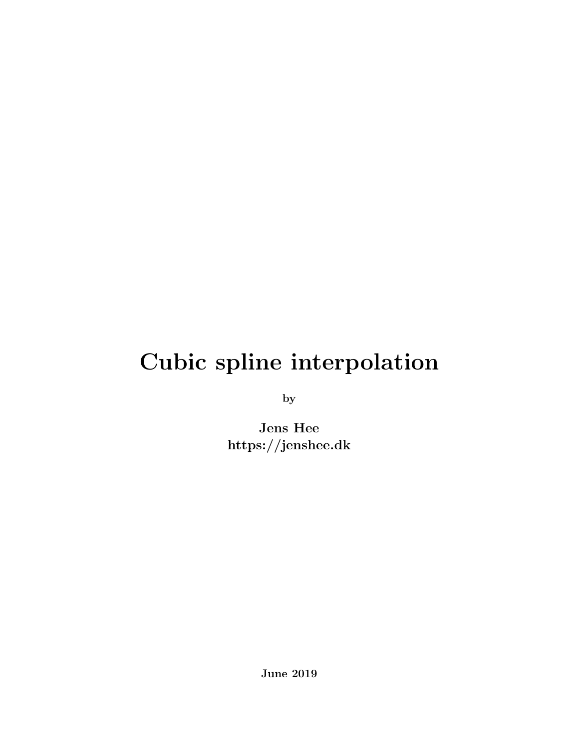# Cubic spline interpolation

by

Jens Hee https://jenshee.dk

June 2019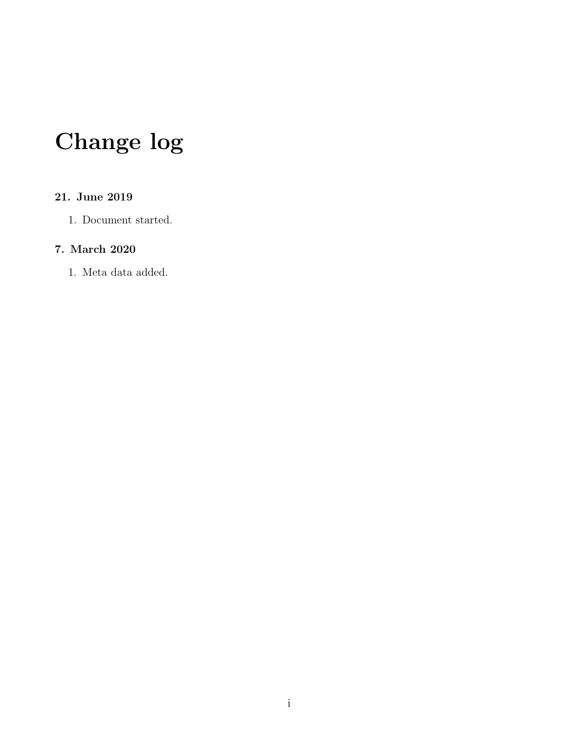# Change log

#### 21. June 2019

1. Document started.

#### 7. March 2020

1. Meta data added.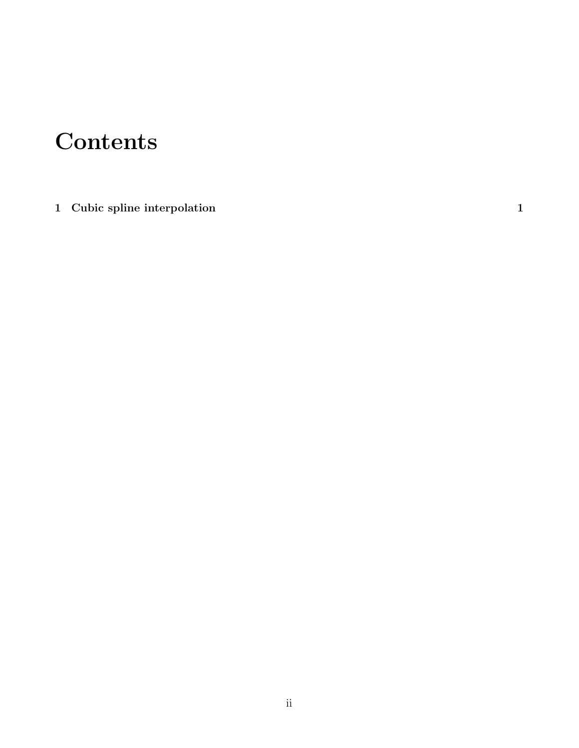### **Contents**

[1 Cubic spline interpolation](#page-3-0) 1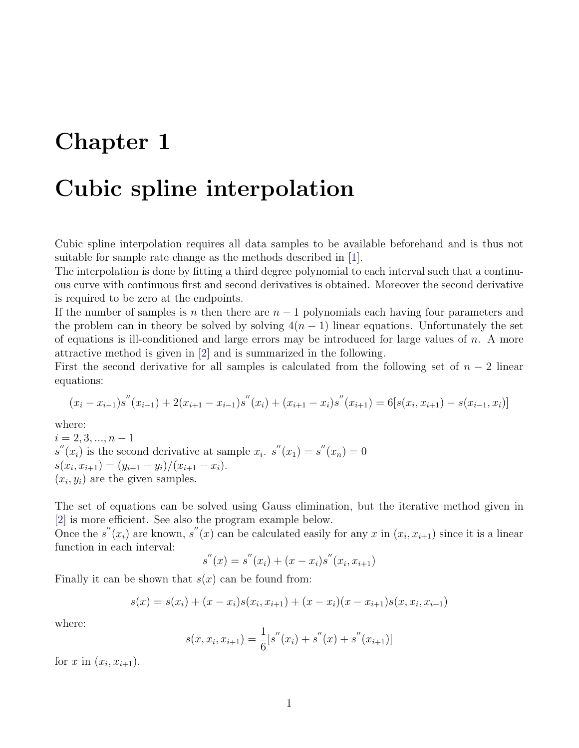### <span id="page-3-0"></span>Chapter 1

#### Cubic spline interpolation

Cubic spline interpolation requires all data samples to be available beforehand and is thus not suitable for sample rate change as the methods described in [\[1\]](#page-6-0).

The interpolation is done by fitting a third degree polynomial to each interval such that a continuous curve with continuous first and second derivatives is obtained. Moreover the second derivative is required to be zero at the endpoints.

If the number of samples is n then there are  $n-1$  polynomials each having four parameters and the problem can in theory be solved by solving  $4(n - 1)$  linear equations. Unfortunately the set of equations is ill-conditioned and large errors may be introduced for large values of  $n$ . A more attractive method is given in [\[2\]](#page-6-1) and is summarized in the following.

First the second derivative for all samples is calculated from the following set of  $n-2$  linear equations:

$$
(x_i - x_{i-1})s''(x_{i-1}) + 2(x_{i+1} - x_{i-1})s''(x_i) + (x_{i+1} - x_i)s''(x_{i+1}) = 6[s(x_i, x_{i+1}) - s(x_{i-1}, x_i)]
$$

where:

 $i = 2, 3, ..., n - 1$  $s''(x_i)$  is the second derivative at sample  $x_i$ .  $s''(x_1) = s''(x_n) = 0$  $s(x_i, x_{i+1}) = (y_{i+1} - y_i)/(x_{i+1} - x_i).$  $(x_i, y_i)$  are the given samples.

The set of equations can be solved using Gauss elimination, but the iterative method given in [\[2\]](#page-6-1) is more efficient. See also the program example below.

Once the s<sup>"</sup> $(x_i)$  are known, s" $(x)$  can be calculated easily for any x in  $(x_i, x_{i+1})$  since it is a linear function in each interval:

$$
s^{''}(x) = s^{''}(x_i) + (x - x_i)s^{''}(x_i, x_{i+1})
$$

Finally it can be shown that  $s(x)$  can be found from:

$$
s(x) = s(x_i) + (x - x_i)s(x_i, x_{i+1}) + (x - x_i)(x - x_{i+1})s(x, x_i, x_{i+1})
$$

where:

$$
s(x, x_i, x_{i+1}) = \frac{1}{6} [s''(x_i) + s''(x) + s''(x_{i+1})]
$$

for  $x$  in  $(x_i, x_{i+1})$ .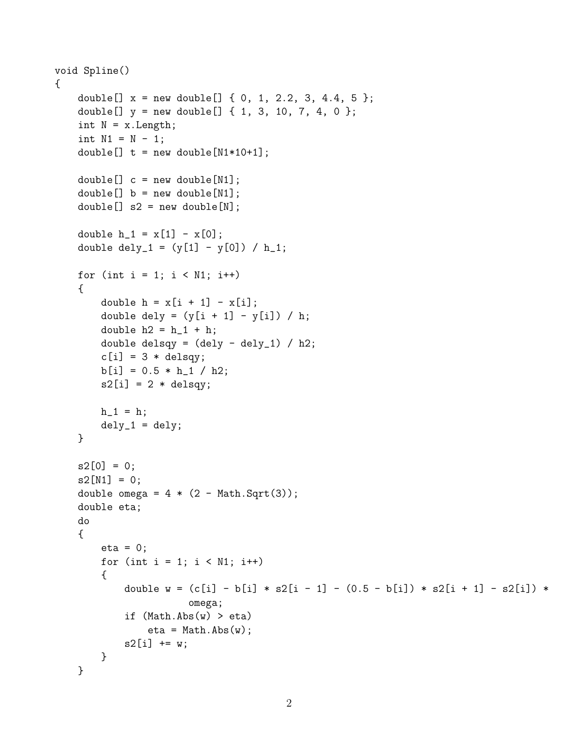```
void Spline()
{
    double[] x = new double[] { 0, 1, 2.2, 3, 4.4, 5 };double[] y = new double[] { 1, 3, 10, 7, 4, 0 };int N = x.length;int N1 = N - 1;
    double[] t = new double[N1*10+1];double[] c = new double[N1];double[] b = new double[N1];double[] s2 = new double[N];
    double h_1 = x[1] - x[0];
    double dely_1 = (y[1] - y[0]) / h_1;for (int i = 1; i < N1; i++){
        double h = x[i + 1] - x[i];double dely = (y[i + 1] - y[i]) / h;double h2 = h_1 + h;
        double delsqy = (dely - dely_1) / h2;
        c[i] = 3 * delay;b[i] = 0.5 * h_1 / h2;s2[i] = 2 * delay;h_1 = h;dely_1 = dely;}
    s2[0] = 0;s2[N1] = 0;double omega = 4 * (2 - Math.Sqrt(3));double eta;
    do
    {
        eta = 0;for (int i = 1; i < N1; i++){
            double w = (c[i] - b[i] * s2[i - 1] - (0.5 - b[i]) * s2[i + 1] - s2[i]) *omega;
            if (Math.Abs(w) > eta)eta = Math.Abs(w);s2[i] += w;}
    }
```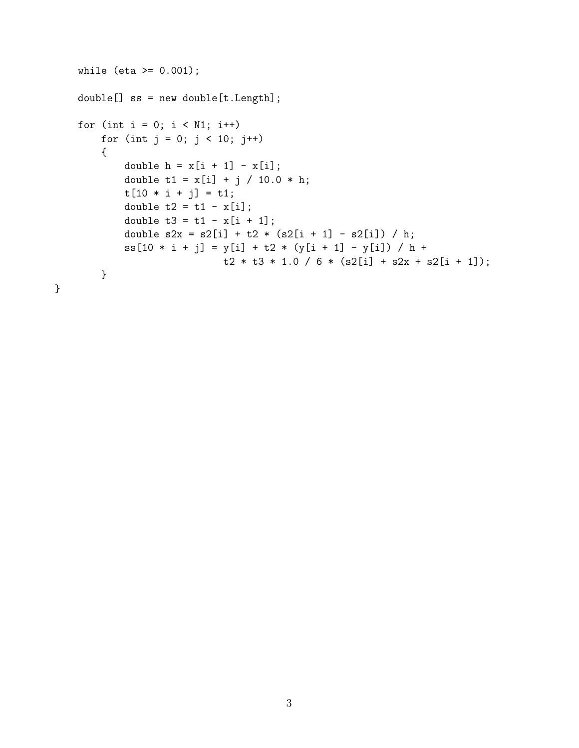```
while (eta >= 0.001);
double[] ss = new double[t.Length];
for (int i = 0; i < N1; i++)for (int j = 0; j < 10; j^{++})
    {
        double h = x[i + 1] - x[i];double t1 = x[i] + j / 10.0 * h;t[10 * i + j] = t1;double t2 = t1 - x[i];double t3 = t1 - x[i + 1];double s2x = s2[i] + t2 * (s2[i + 1] - s2[i]) / h;ss[10 * i + j] = y[i] + t2 * (y[i + 1] - y[i]) / h +
                        t2 * t3 * 1.0 / 6 * (s2[i] + s2x + s2[i + 1]);}
```
}